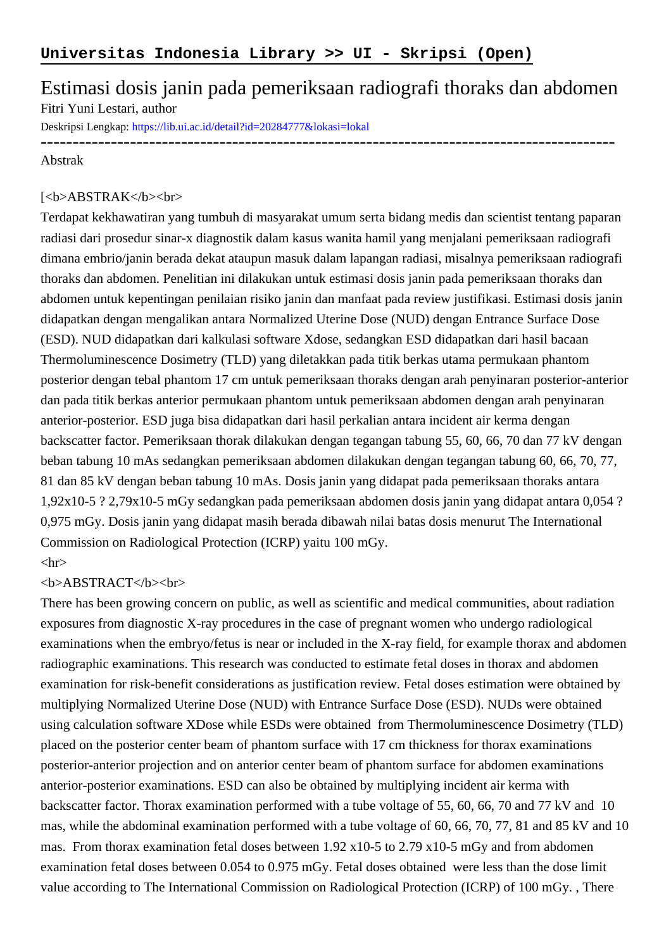# Estimasi dosis janin pada pemeriksaan radiografi thoraks dan abdomen Fitri Yuni Lestari, author

Deskripsi Lengkap:<https://lib.ui.ac.id/detail?id=20284777&lokasi=lokal>

## ------------------------------------------------------------------------------------------ Abstrak

#### [<b>ABSTRAK</b><br/>shr>

Terdapat kekhawatiran yang tumbuh di masyarakat umum serta bidang medis dan scientist tentang paparan radiasi dari prosedur sinar-x diagnostik dalam kasus wanita hamil yang menjalani pemeriksaan radiografi dimana embrio/janin berada dekat ataupun masuk dalam lapangan radiasi, misalnya pemeriksaan radiografi thoraks dan abdomen. Penelitian ini dilakukan untuk estimasi dosis janin pada pemeriksaan thoraks dan abdomen untuk kepentingan penilaian risiko janin dan manfaat pada review justifikasi. Estimasi dosis janin didapatkan dengan mengalikan antara Normalized Uterine Dose (NUD) dengan Entrance Surface Dose (ESD). NUD didapatkan dari kalkulasi software Xdose, sedangkan ESD didapatkan dari hasil bacaan Thermoluminescence Dosimetry (TLD) yang diletakkan pada titik berkas utama permukaan phantom posterior dengan tebal phantom 17 cm untuk pemeriksaan thoraks dengan arah penyinaran posterior-anterior dan pada titik berkas anterior permukaan phantom untuk pemeriksaan abdomen dengan arah penyinaran anterior-posterior. ESD juga bisa didapatkan dari hasil perkalian antara incident air kerma dengan backscatter factor. Pemeriksaan thorak dilakukan dengan tegangan tabung 55, 60, 66, 70 dan 77 kV dengan beban tabung 10 mAs sedangkan pemeriksaan abdomen dilakukan dengan tegangan tabung 60, 66, 70, 77, 81 dan 85 kV dengan beban tabung 10 mAs. Dosis janin yang didapat pada pemeriksaan thoraks antara 1,92x10-5 ? 2,79x10-5 mGy sedangkan pada pemeriksaan abdomen dosis janin yang didapat antara 0,054 ? 0,975 mGy. Dosis janin yang didapat masih berada dibawah nilai batas dosis menurut The International Commission on Radiological Protection (ICRP) yaitu 100 mGy.

### $\langle$ hr $>$

#### <b>ABSTRACT</b><br>

There has been growing concern on public, as well as scientific and medical communities, about radiation exposures from diagnostic X-ray procedures in the case of pregnant women who undergo radiological examinations when the embryo/fetus is near or included in the X-ray field, for example thorax and abdomen radiographic examinations. This research was conducted to estimate fetal doses in thorax and abdomen examination for risk-benefit considerations as justification review. Fetal doses estimation were obtained by multiplying Normalized Uterine Dose (NUD) with Entrance Surface Dose (ESD). NUDs were obtained using calculation software XDose while ESDs were obtained from Thermoluminescence Dosimetry (TLD) placed on the posterior center beam of phantom surface with 17 cm thickness for thorax examinations posterior-anterior projection and on anterior center beam of phantom surface for abdomen examinations anterior-posterior examinations. ESD can also be obtained by multiplying incident air kerma with backscatter factor. Thorax examination performed with a tube voltage of 55, 60, 66, 70 and 77 kV and 10 mas, while the abdominal examination performed with a tube voltage of 60, 66, 70, 77, 81 and 85 kV and 10 mas. From thorax examination fetal doses between 1.92 x10-5 to 2.79 x10-5 mGy and from abdomen examination fetal doses between 0.054 to 0.975 mGy. Fetal doses obtained were less than the dose limit value according to The International Commission on Radiological Protection (ICRP) of 100 mGy. , There